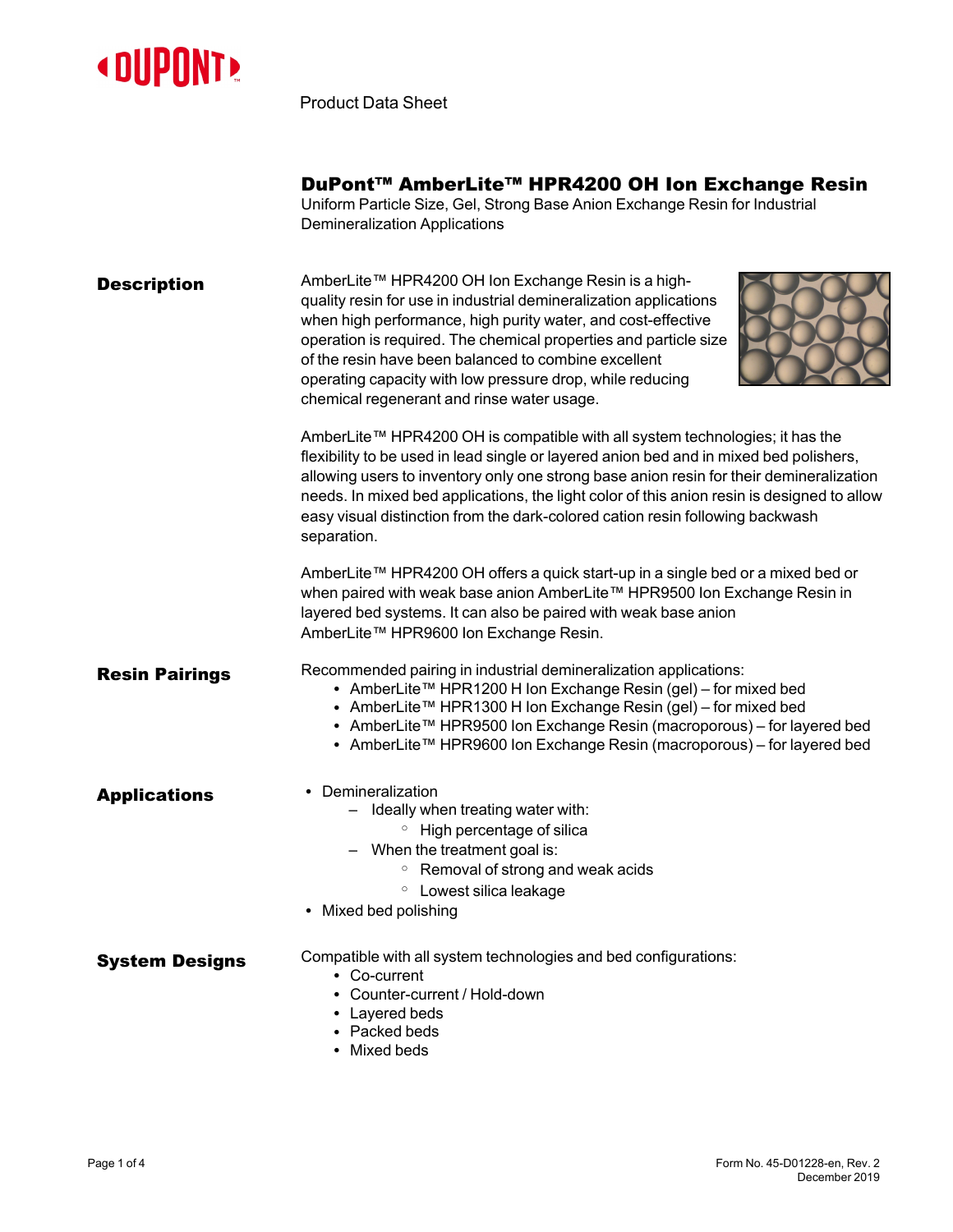

Product Data Sheet

## DuPont™ AmberLite™ HPR4200 OH Ion Exchange Resin

Uniform Particle Size, Gel, Strong Base Anion Exchange Resin for Industrial Demineralization Applications

| <b>Description</b>    | AmberLite™ HPR4200 OH Ion Exchange Resin is a high-<br>quality resin for use in industrial demineralization applications<br>when high performance, high purity water, and cost-effective<br>operation is required. The chemical properties and particle size<br>of the resin have been balanced to combine excellent<br>operating capacity with low pressure drop, while reducing<br>chemical regenerant and rinse water usage.                                 |
|-----------------------|-----------------------------------------------------------------------------------------------------------------------------------------------------------------------------------------------------------------------------------------------------------------------------------------------------------------------------------------------------------------------------------------------------------------------------------------------------------------|
|                       | AmberLite™ HPR4200 OH is compatible with all system technologies; it has the<br>flexibility to be used in lead single or layered anion bed and in mixed bed polishers,<br>allowing users to inventory only one strong base anion resin for their demineralization<br>needs. In mixed bed applications, the light color of this anion resin is designed to allow<br>easy visual distinction from the dark-colored cation resin following backwash<br>separation. |
|                       | AmberLite™ HPR4200 OH offers a quick start-up in a single bed or a mixed bed or<br>when paired with weak base anion AmberLite™ HPR9500 Ion Exchange Resin in<br>layered bed systems. It can also be paired with weak base anion<br>AmberLite™ HPR9600 Ion Exchange Resin.                                                                                                                                                                                       |
| <b>Resin Pairings</b> | Recommended pairing in industrial demineralization applications:<br>• AmberLite™ HPR1200 H Ion Exchange Resin (gel) - for mixed bed<br>• AmberLite™ HPR1300 H Ion Exchange Resin (gel) – for mixed bed<br>• AmberLite™ HPR9500 Ion Exchange Resin (macroporous) – for layered bed<br>• AmberLite™ HPR9600 Ion Exchange Resin (macroporous) – for layered bed                                                                                                    |
| <b>Applications</b>   | • Demineralization<br>- Ideally when treating water with:<br>• High percentage of silica<br>- When the treatment goal is:<br>○ Removal of strong and weak acids<br><b>O</b> Lowest silica leakage<br>• Mixed bed polishing                                                                                                                                                                                                                                      |
| <b>System Designs</b> | Compatible with all system technologies and bed configurations:<br>• Co-current<br>• Counter-current / Hold-down<br>• Layered beds<br>• Packed beds<br>• Mixed beds                                                                                                                                                                                                                                                                                             |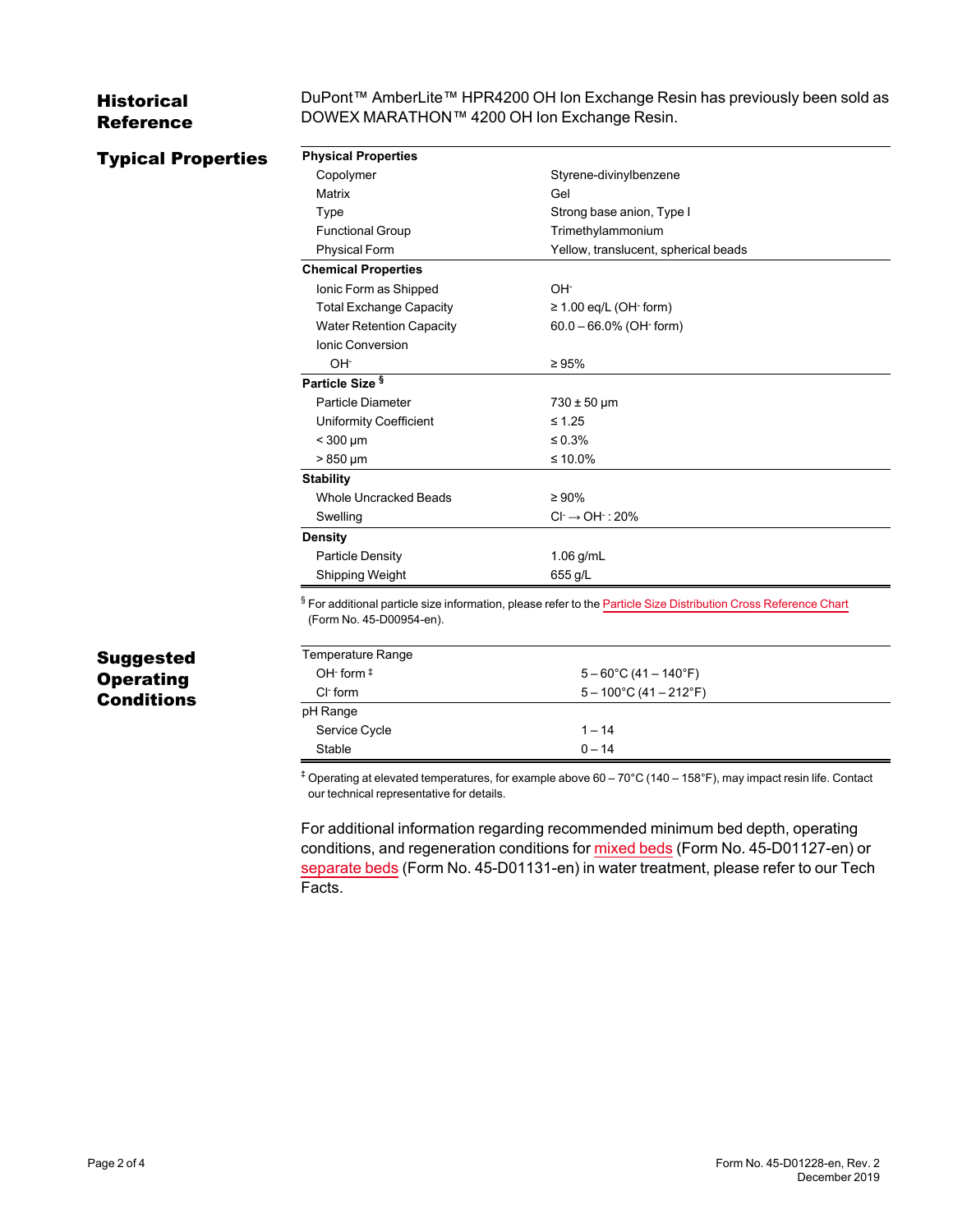## Historical Reference

DuPont™ AmberLite™ HPR4200 OH Ion Exchange Resin has previously been sold as DOWEX MARATHON™ 4200 OH Ion Exchange Resin.

| <b>Typical Properties</b> | <b>Physical Properties</b>                                                                                                                              |                                      |  |
|---------------------------|---------------------------------------------------------------------------------------------------------------------------------------------------------|--------------------------------------|--|
|                           | Copolymer                                                                                                                                               | Styrene-divinylbenzene               |  |
|                           | Matrix                                                                                                                                                  | Gel                                  |  |
|                           | <b>Type</b>                                                                                                                                             | Strong base anion, Type I            |  |
|                           | <b>Functional Group</b>                                                                                                                                 | Trimethylammonium                    |  |
|                           | Physical Form                                                                                                                                           | Yellow, translucent, spherical beads |  |
|                           | <b>Chemical Properties</b>                                                                                                                              |                                      |  |
|                           | Ionic Form as Shipped                                                                                                                                   | OH-                                  |  |
|                           | <b>Total Exchange Capacity</b>                                                                                                                          | $\geq$ 1.00 eq/L (OH $\cdot$ form)   |  |
|                           | <b>Water Retention Capacity</b>                                                                                                                         | $60.0 - 66.0\%$ (OH $\cdot$ form)    |  |
|                           | Ionic Conversion                                                                                                                                        |                                      |  |
|                           | OH-                                                                                                                                                     | $\geq 95\%$                          |  |
|                           | Particle Size <sup>§</sup>                                                                                                                              |                                      |  |
|                           | <b>Particle Diameter</b>                                                                                                                                | $730 \pm 50$ µm                      |  |
|                           | Uniformity Coefficient                                                                                                                                  | $\leq 1.25$                          |  |
|                           | $<$ 300 µm                                                                                                                                              | $\leq 0.3\%$                         |  |
|                           | $>850 \mu m$                                                                                                                                            | ≤ 10.0%                              |  |
|                           | <b>Stability</b>                                                                                                                                        |                                      |  |
|                           | <b>Whole Uncracked Beads</b>                                                                                                                            | $\geq 90\%$                          |  |
|                           | Swelling                                                                                                                                                | $Cl^1 \rightarrow OH^1$ : 20%        |  |
|                           | <b>Density</b>                                                                                                                                          |                                      |  |
|                           | Particle Density                                                                                                                                        | 1.06 g/mL                            |  |
|                           | Shipping Weight                                                                                                                                         | 655 g/L                              |  |
|                           | <sup>§</sup> For additional particle size information, please refer to the Particle Size Distribution Cross Reference Chart<br>(Form No. 45-D00954-en). |                                      |  |
| Suggested                 | Temperature Range                                                                                                                                       |                                      |  |
| <b>Operating</b>          | OH $\cdot$ form $\ddagger$                                                                                                                              | $5 - 60^{\circ}$ C (41 - 140°F)      |  |
|                           | CI-form                                                                                                                                                 | $5 - 100^{\circ}$ C (41 - 212°F)     |  |
| <b>Conditions</b>         | pH Range                                                                                                                                                |                                      |  |
|                           | Service Cycle                                                                                                                                           | $1 - 14$                             |  |
|                           | Stable                                                                                                                                                  | $0 - 14$                             |  |

our technical representative for details.

For additional information regarding recommended minimum bed depth, operating conditions, and regeneration conditions for [mixed](https://www.dupont.com/content/dam/dupont/amer/us/en/water-solutions/public/documents/en/45-D01127-en.pdf) beds (Form No. 45-D01127-en) or [separate](https://www.dupont.com/content/dam/dupont/amer/us/en/water-solutions/public/documents/en/45-D01131-en.pdf) beds (Form No. 45-D01131-en) in water treatment, please refer to our Tech Facts.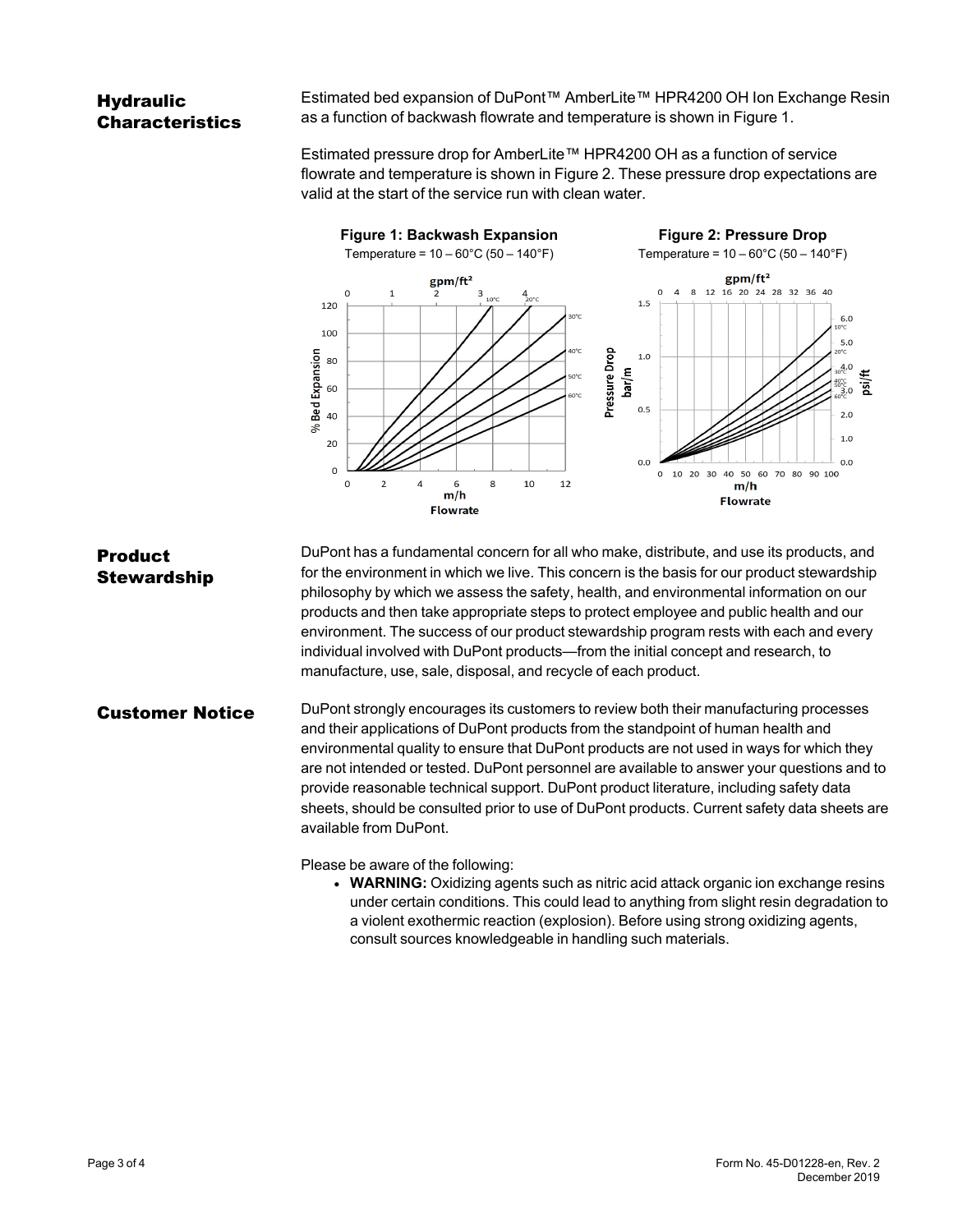## **Hydraulic** Characteristics

Estimated bed expansion of DuPont™ AmberLite™ HPR4200 OH Ion Exchange Resin as a function of backwash flowrate and temperature is shown in [Figure 1.](#page-2-0)

<span id="page-2-1"></span>Estimated pressure drop for AmberLite™ HPR4200 OH as a function of service flowrate and temperature is shown in [Figure 2](#page-2-1). These pressure drop expectations are valid at the start of the service run with clean water.

<span id="page-2-0"></span>

Product **Stewardship** DuPont has a fundamental concern for all who make, distribute, and use its products, and for the environment in which we live. This concern is the basis for our product stewardship philosophy by which we assess the safety, health, and environmental information on our products and then take appropriate steps to protect employee and public health and our environment. The success of our product stewardship program rests with each and every individual involved with DuPont products—from the initial concept and research, to manufacture, use, sale, disposal, and recycle of each product.

**Customer Notice** DuPont strongly encourages its customers to review both their manufacturing processes and their applications of DuPont products from the standpoint of human health and environmental quality to ensure that DuPont products are not used in ways for which they are not intended or tested. DuPont personnel are available to answer your questions and to provide reasonable technical support. DuPont product literature, including safety data sheets, should be consulted prior to use of DuPont products. Current safety data sheets are available from DuPont.

Please be aware of the following:

**• WARNING:** Oxidizing agents such as nitric acid attack organic ion exchange resins under certain conditions. This could lead to anything from slight resin degradation to a violent exothermic reaction (explosion). Before using strong oxidizing agents, consult sources knowledgeable in handling such materials.